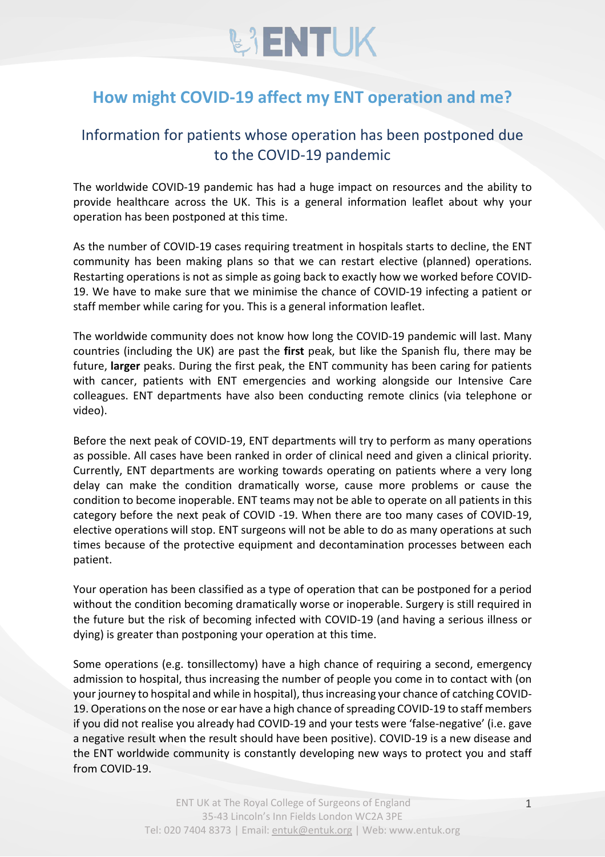

## **How might COVID-19 affect my ENT operation and me?**

## Information for patients whose operation has been postponed due to the COVID-19 pandemic

The worldwide COVID-19 pandemic has had a huge impact on resources and the ability to provide healthcare across the UK. This is a general information leaflet about why your operation has been postponed at this time.

As the number of COVID-19 cases requiring treatment in hospitals starts to decline, the ENT community has been making plans so that we can restart elective (planned) operations. Restarting operations is not as simple as going back to exactly how we worked before COVID-19. We have to make sure that we minimise the chance of COVID-19 infecting a patient or staff member while caring for you. This is a general information leaflet.

The worldwide community does not know how long the COVID-19 pandemic will last. Many countries (including the UK) are past the **first** peak, but like the Spanish flu, there may be future, **larger** peaks. During the first peak, the ENT community has been caring for patients with cancer, patients with ENT emergencies and working alongside our Intensive Care colleagues. ENT departments have also been conducting remote clinics (via telephone or video).

Before the next peak of COVID-19, ENT departments will try to perform as many operations as possible. All cases have been ranked in order of clinical need and given a clinical priority. Currently, ENT departments are working towards operating on patients where a very long delay can make the condition dramatically worse, cause more problems or cause the condition to become inoperable. ENT teams may not be able to operate on all patients in this category before the next peak of COVID -19. When there are too many cases of COVID-19, elective operations will stop. ENT surgeons will not be able to do as many operations at such times because of the protective equipment and decontamination processes between each patient.

Your operation has been classified as a type of operation that can be postponed for a period without the condition becoming dramatically worse or inoperable. Surgery is still required in the future but the risk of becoming infected with COVID-19 (and having a serious illness or dying) is greater than postponing your operation at this time.

Some operations (e.g. tonsillectomy) have a high chance of requiring a second, emergency admission to hospital, thus increasing the number of people you come in to contact with (on your journey to hospital and while in hospital), thus increasing your chance of catching COVID-19. Operations on the nose or ear have a high chance of spreading COVID-19 to staff members if you did not realise you already had COVID-19 and your tests were 'false-negative' (i.e. gave a negative result when the result should have been positive). COVID-19 is a new disease and the ENT worldwide community is constantly developing new ways to protect you and staff from COVID-19.